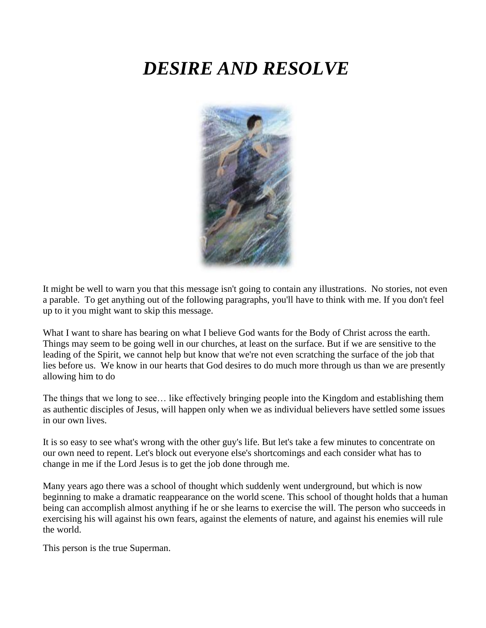# *DESIRE AND RESOLVE*



It might be well to warn you that this message isn't going to contain any illustrations. No stories, not even a parable. To get anything out of the following paragraphs, you'll have to think with me. If you don't feel up to it you might want to skip this message.

What I want to share has bearing on what I believe God wants for the Body of Christ across the earth. Things may seem to be going well in our churches, at least on the surface. But if we are sensitive to the leading of the Spirit, we cannot help but know that we're not even scratching the surface of the job that lies before us. We know in our hearts that God desires to do much more through us than we are presently allowing him to do

The things that we long to see… like effectively bringing people into the Kingdom and establishing them as authentic disciples of Jesus, will happen only when we as individual believers have settled some issues in our own lives.

It is so easy to see what's wrong with the other guy's life. But let's take a few minutes to concentrate on our own need to repent. Let's block out everyone else's shortcomings and each consider what has to change in me if the Lord Jesus is to get the job done through me.

Many years ago there was a school of thought which suddenly went underground, but which is now beginning to make a dramatic reappearance on the world scene. This school of thought holds that a human being can accomplish almost anything if he or she learns to exercise the will. The person who succeeds in exercising his will against his own fears, against the elements of nature, and against his enemies will rule the world.

This person is the true Superman.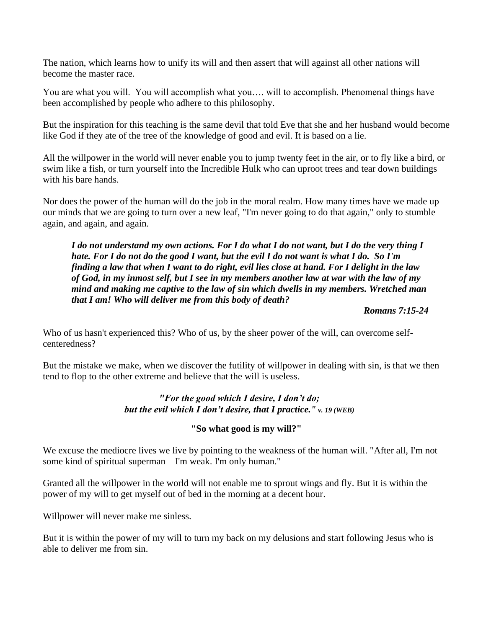The nation, which learns how to unify its will and then assert that will against all other nations will become the master race.

You are what you will. You will accomplish what you…. will to accomplish. Phenomenal things have been accomplished by people who adhere to this philosophy.

But the inspiration for this teaching is the same devil that told Eve that she and her husband would become like God if they ate of the tree of the knowledge of good and evil. It is based on a lie.

All the willpower in the world will never enable you to jump twenty feet in the air, or to fly like a bird, or swim like a fish, or turn yourself into the Incredible Hulk who can uproot trees and tear down buildings with his bare hands.

Nor does the power of the human will do the job in the moral realm. How many times have we made up our minds that we are going to turn over a new leaf, "I'm never going to do that again," only to stumble again, and again, and again.

*I do not understand my own actions. For I do what I do not want, but I do the very thing I hate. For I do not do the good I want, but the evil I do not want is what I do. So I'm finding a law that when I want to do right, evil lies close at hand. For I delight in the law of God, in my inmost self, but I see in my members another law at war with the law of my mind and making me captive to the law of sin which dwells in my members. Wretched man that I am! Who will deliver me from this body of death?* 

*Romans 7:15-24*

Who of us hasn't experienced this? Who of us, by the sheer power of the will, can overcome selfcenteredness?

But the mistake we make, when we discover the futility of willpower in dealing with sin, is that we then tend to flop to the other extreme and believe that the will is useless.

## *"For the good which I desire, I don't do; but the evil which I don't desire, that I practice." v. 19 (WEB)*

## **"So what good is my will?"**

We excuse the mediocre lives we live by pointing to the weakness of the human will. "After all, I'm not some kind of spiritual superman – I'm weak. I'm only human."

Granted all the willpower in the world will not enable me to sprout wings and fly. But it is within the power of my will to get myself out of bed in the morning at a decent hour.

Willpower will never make me sinless.

But it is within the power of my will to turn my back on my delusions and start following Jesus who is able to deliver me from sin.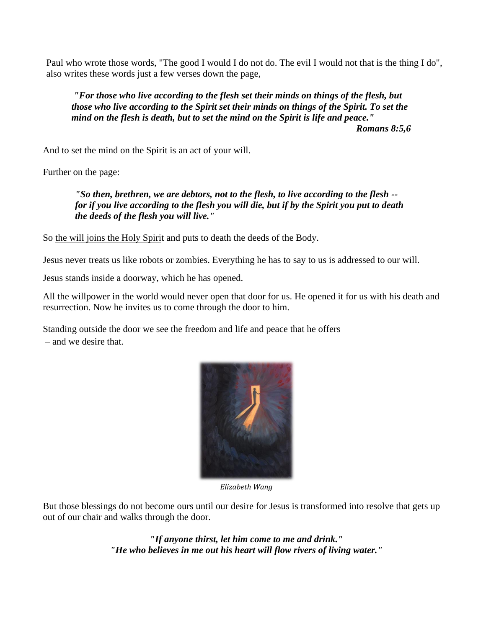Paul who wrote those words, "The good I would I do not do. The evil I would not that is the thing I do", also writes these words just a few verses down the page,

*"For those who live according to the flesh set their minds on things of the flesh, but those who live according to the Spirit set their minds on things of the Spirit. To set the mind on the flesh is death, but to set the mind on the Spirit is life and peace." Romans 8:5,6*

And to set the mind on the Spirit is an act of your will.

Further on the page:

*"So then, brethren, we are debtors, not to the flesh, to live according to the flesh - for if you live according to the flesh you will die, but if by the Spirit you put to death the deeds of the flesh you will live."*

So the will joins the Holy Spirit and puts to death the deeds of the Body.

Jesus never treats us like robots or zombies. Everything he has to say to us is addressed to our will.

Jesus stands inside a doorway, which he has opened.

All the willpower in the world would never open that door for us. He opened it for us with his death and resurrection. Now he invites us to come through the door to him.

Standing outside the door we see the freedom and life and peace that he offers – and we desire that.



*Elizabeth Wang* 

But those blessings do not become ours until our desire for Jesus is transformed into resolve that gets up out of our chair and walks through the door.

> *"If anyone thirst, let him come to me and drink." "He who believes in me out his heart will flow rivers of living water."*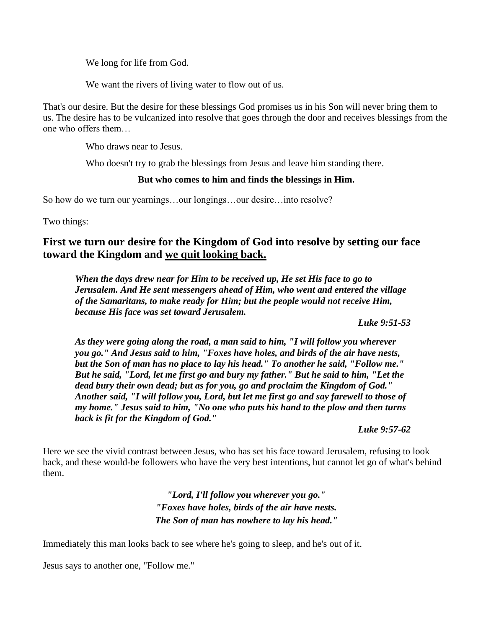We long for life from God.

We want the rivers of living water to flow out of us.

That's our desire. But the desire for these blessings God promises us in his Son will never bring them to us. The desire has to be vulcanized into resolve that goes through the door and receives blessings from the one who offers them…

Who draws near to Jesus.

Who doesn't try to grab the blessings from Jesus and leave him standing there.

## **But who comes to him and finds the blessings in Him.**

So how do we turn our yearnings...our longings...our desire...into resolve?

Two things:

## **First we turn our desire for the Kingdom of God into resolve by setting our face toward the Kingdom and we quit looking back.**

*When the days drew near for Him to be received up, He set His face to go to Jerusalem. And He sent messengers ahead of Him, who went and entered the village of the Samaritans, to make ready for Him; but the people would not receive Him, because His face was set toward Jerusalem.* 

*Luke 9:51-53*

*As they were going along the road, a man said to him, "I will follow you wherever you go." And Jesus said to him, "Foxes have holes, and birds of the air have nests, but the Son of man has no place to lay his head." To another he said, "Follow me." But he said, "Lord, let me first go and bury my father." But he said to him, "Let the dead bury their own dead; but as for you, go and proclaim the Kingdom of God." Another said, "I will follow you, Lord, but let me first go and say farewell to those of my home." Jesus said to him, "No one who puts his hand to the plow and then turns back is fit for the Kingdom of God."* 

*Luke 9:57-62*

Here we see the vivid contrast between Jesus, who has set his face toward Jerusalem, refusing to look back, and these would-be followers who have the very best intentions, but cannot let go of what's behind them.

> *"Lord, I'll follow you wherever you go." "Foxes have holes, birds of the air have nests. The Son of man has nowhere to lay his head."*

Immediately this man looks back to see where he's going to sleep, and he's out of it.

Jesus says to another one, "Follow me."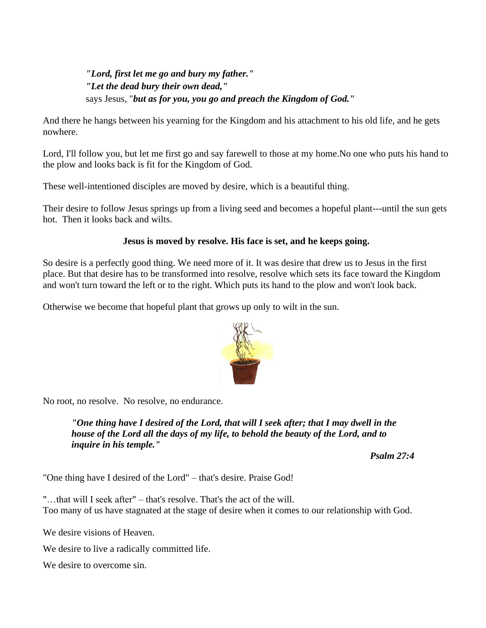## *"Lord, first let me go and bury my father." "Let the dead bury their own dead,"* says Jesus, "*but as for you, you go and preach the Kingdom of God."*

And there he hangs between his yearning for the Kingdom and his attachment to his old life, and he gets nowhere.

Lord, I'll follow you, but let me first go and say farewell to those at my home.No one who puts his hand to the plow and looks back is fit for the Kingdom of God.

These well-intentioned disciples are moved by desire, which is a beautiful thing.

Their desire to follow Jesus springs up from a living seed and becomes a hopeful plant---until the sun gets hot. Then it looks back and wilts.

## **Jesus is moved by resolve. His face is set, and he keeps going.**

So desire is a perfectly good thing. We need more of it. It was desire that drew us to Jesus in the first place. But that desire has to be transformed into resolve, resolve which sets its face toward the Kingdom and won't turn toward the left or to the right. Which puts its hand to the plow and won't look back.

Otherwise we become that hopeful plant that grows up only to wilt in the sun.



No root, no resolve. No resolve, no endurance.

*"One thing have I desired of the Lord, that will I seek after; that I may dwell in the house of the Lord all the days of my life, to behold the beauty of the Lord, and to inquire in his temple."* 

*Psalm 27:4*

"One thing have I desired of the Lord" – that's desire. Praise God!

"…that will I seek after" – that's resolve. That's the act of the will. Too many of us have stagnated at the stage of desire when it comes to our relationship with God.

We desire visions of Heaven.

We desire to live a radically committed life.

We desire to overcome sin.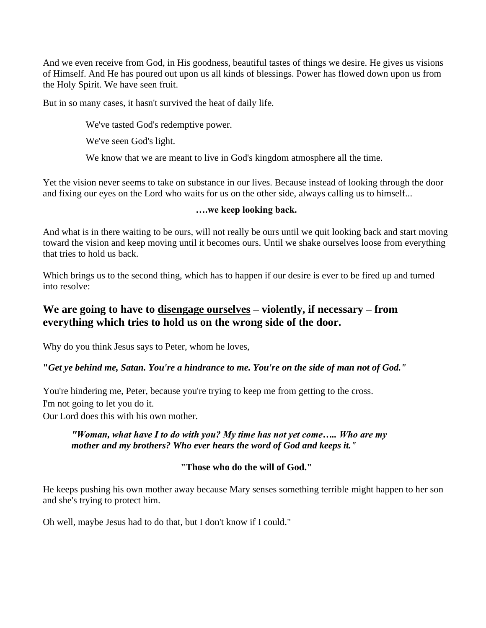And we even receive from God, in His goodness, beautiful tastes of things we desire. He gives us visions of Himself. And He has poured out upon us all kinds of blessings. Power has flowed down upon us from the Holy Spirit. We have seen fruit.

But in so many cases, it hasn't survived the heat of daily life.

We've tasted God's redemptive power.

We've seen God's light.

We know that we are meant to live in God's kingdom atmosphere all the time.

Yet the vision never seems to take on substance in our lives. Because instead of looking through the door and fixing our eyes on the Lord who waits for us on the other side, always calling us to himself...

## **….we keep looking back.**

And what is in there waiting to be ours, will not really be ours until we quit looking back and start moving toward the vision and keep moving until it becomes ours. Until we shake ourselves loose from everything that tries to hold us back.

Which brings us to the second thing, which has to happen if our desire is ever to be fired up and turned into resolve:

## **We are going to have to disengage ourselves – violently, if necessary – from everything which tries to hold us on the wrong side of the door.**

Why do you think Jesus says to Peter, whom he loves,

## **"***Get ye behind me, Satan. You're a hindrance to me. You're on the side of man not of God."*

You're hindering me, Peter, because you're trying to keep me from getting to the cross. I'm not going to let you do it.

Our Lord does this with his own mother.

## *"Woman, what have I to do with you? My time has not yet come….. Who are my mother and my brothers? Who ever hears the word of God and keeps it."*

## **"Those who do the will of God."**

He keeps pushing his own mother away because Mary senses something terrible might happen to her son and she's trying to protect him.

Oh well, maybe Jesus had to do that, but I don't know if I could."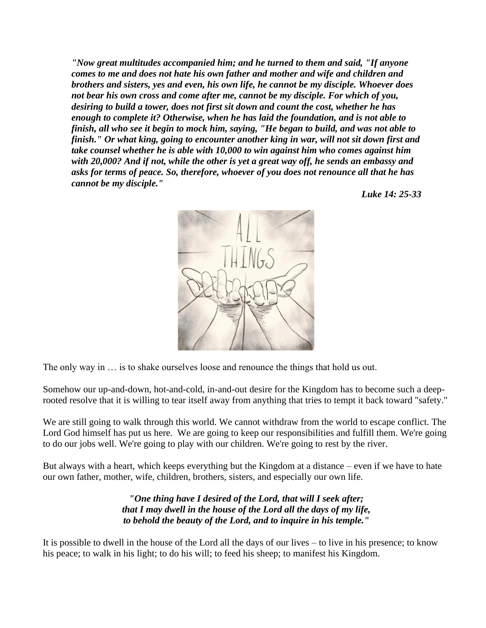*"Now great multitudes accompanied him; and he turned to them and said, "If anyone comes to me and does not hate his own father and mother and wife and children and brothers and sisters, yes and even, his own life, he cannot be my disciple. Whoever does not bear his own cross and come after me, cannot be my disciple. For which of you, desiring to build a tower, does not first sit down and count the cost, whether he has enough to complete it? Otherwise, when he has laid the foundation, and is not able to finish, all who see it begin to mock him, saying, "He began to build, and was not able to finish." Or what king, going to encounter another king in war, will not sit down first and take counsel whether he is able with 10,000 to win against him who comes against him with 20,000? And if not, while the other is yet a great way off, he sends an embassy and asks for terms of peace. So, therefore, whoever of you does not renounce all that he has cannot be my disciple."* 

*Luke 14: 25-33*



The only way in … is to shake ourselves loose and renounce the things that hold us out.

Somehow our up-and-down, hot-and-cold, in-and-out desire for the Kingdom has to become such a deeprooted resolve that it is willing to tear itself away from anything that tries to tempt it back toward "safety."

We are still going to walk through this world. We cannot withdraw from the world to escape conflict. The Lord God himself has put us here. We are going to keep our responsibilities and fulfill them. We're going to do our jobs well. We're going to play with our children. We're going to rest by the river.

But always with a heart, which keeps everything but the Kingdom at a distance – even if we have to hate our own father, mother, wife, children, brothers, sisters, and especially our own life.

> *"One thing have I desired of the Lord, that will I seek after; that I may dwell in the house of the Lord all the days of my life, to behold the beauty of the Lord, and to inquire in his temple."*

It is possible to dwell in the house of the Lord all the days of our lives – to live in his presence; to know his peace; to walk in his light; to do his will; to feed his sheep; to manifest his Kingdom.